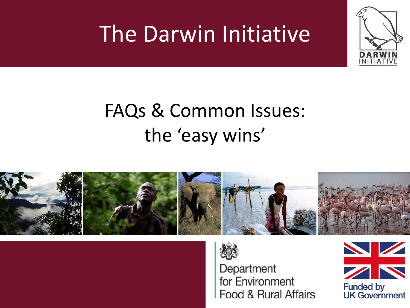## The Darwin Initiative







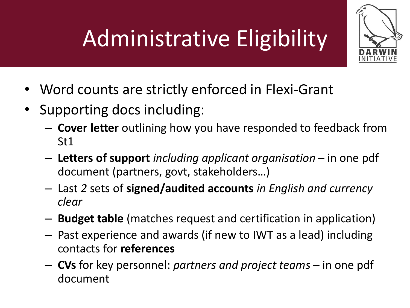# Administrative Eligibility



- Word counts are strictly enforced in Flexi-Grant
- Supporting docs including:
	- **Cover letter** outlining how you have responded to feedback from St1
	- **Letters of support** *including applicant organisation*  in one pdf document (partners, govt, stakeholders…)
	- Last *2* sets of **signed/audited accounts** *in English and currency clear*
	- **Budget table** (matches request and certification in application)
	- Past experience and awards (if new to IWT as a lead) including contacts for **references**
	- **CVs** for key personnel: *partners and project teams*  in one pdf document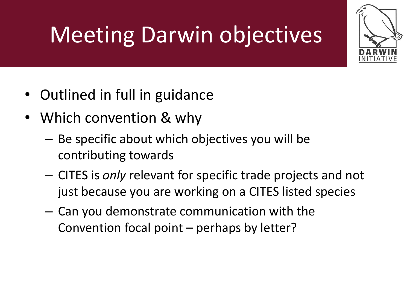# Meeting Darwin objectives

- Outlined in full in guidance
- Which convention & why
	- Be specific about which objectives you will be contributing towards
	- CITES is *only* relevant for specific trade projects and not just because you are working on a CITES listed species
	- Can you demonstrate communication with the Convention focal point – perhaps by letter?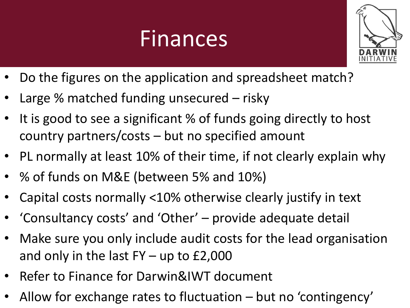### Finances



- Do the figures on the application and spreadsheet match?
- Large % matched funding unsecured risky
- It is good to see a significant % of funds going directly to host country partners/costs – but no specified amount
- PL normally at least 10% of their time, if not clearly explain why
- % of funds on M&E (between 5% and 10%)
- Capital costs normally <10% otherwise clearly justify in text
- 'Consultancy costs' and 'Other' provide adequate detail
- Make sure you only include audit costs for the lead organisation and only in the last  $FY - up$  to £2,000
- Refer to Finance for Darwin&IWT document
- Allow for exchange rates to fluctuation but no 'contingency'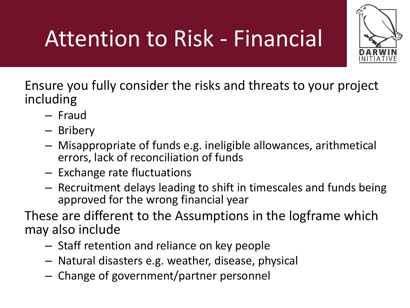# Attention to Risk - Financial



Ensure you fully consider the risks and threats to your project including

- Fraud
- Bribery
- Misappropriate of funds e.g. ineligible allowances, arithmetical errors, lack of reconciliation of funds
- Exchange rate fluctuations
- Recruitment delays leading to shift in timescales and funds being approved for the wrong financial year

These are different to the Assumptions in the logframe which may also include

- Staff retention and reliance on key people
- Natural disasters e.g. weather, disease, physical
- Change of government/partner personnel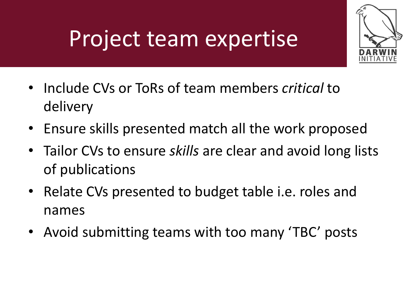## Project team expertise



- Include CVs or ToRs of team members *critical* to delivery
- Ensure skills presented match all the work proposed
- Tailor CVs to ensure *skills* are clear and avoid long lists of publications
- Relate CVs presented to budget table i.e. roles and names
- Avoid submitting teams with too many 'TBC' posts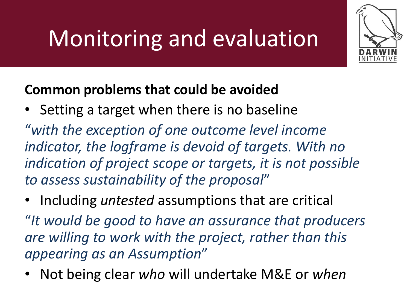# Monitoring and evaluation



• Setting a target when there is no baseline

"*with the exception of one outcome level income indicator, the logframe is devoid of targets. With no indication of project scope or targets, it is not possible to assess sustainability of the proposal*"

• Including *untested* assumptions that are critical

"*It would be good to have an assurance that producers are willing to work with the project, rather than this appearing as an Assumption*"

• Not being clear *who* will undertake M&E or *when*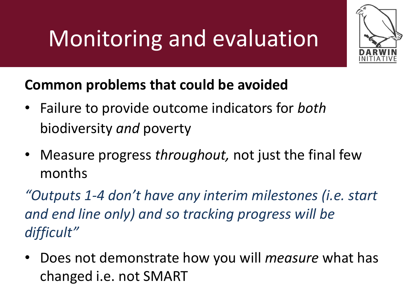# Monitoring and evaluation



### **Common problems that could be avoided**

- Failure to provide outcome indicators for *both* biodiversity *and* poverty
- Measure progress *throughout,* not just the final few months

*"Outputs 1-4 don't have any interim milestones (i.e. start and end line only) and so tracking progress will be difficult"*

• Does not demonstrate how you will *measure* what has changed i.e. not SMART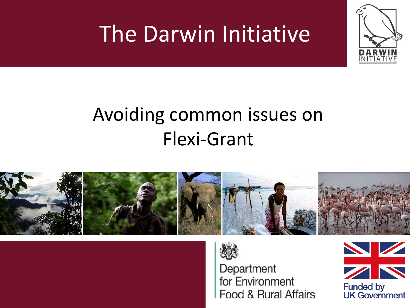## The Darwin Initiative





Department for Environment Food & Rural Affairs

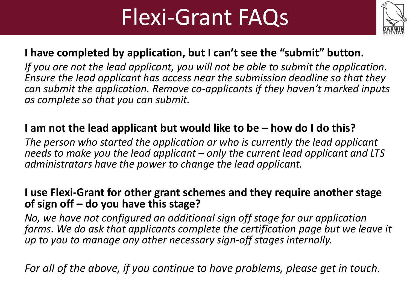### Flexi-Grant FAQs



### **I have completed by application, but I can't see the "submit" button.**

*If you are not the lead applicant, you will not be able to submit the application. Ensure the lead applicant has access near the submission deadline so that they can submit the application. Remove co-applicants if they haven't marked inputs as complete so that you can submit.*

### **I am not the lead applicant but would like to be – how do I do this?**

*The person who started the application or who is currently the lead applicant needs to make you the lead applicant – only the current lead applicant and LTS administrators have the power to change the lead applicant.*

### **I use Flexi-Grant for other grant schemes and they require another stage of sign off – do you have this stage?**

*No, we have not configured an additional sign off stage for our application forms. We do ask that applicants complete the certification page but we leave it up to you to manage any other necessary sign-off stages internally.*

*For all of the above, if you continue to have problems, please get in touch.*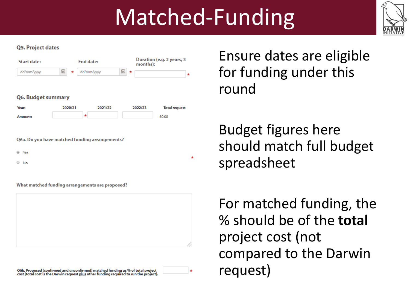## Matched-Funding



#### **Q5. Project dates**



#### Q6. Budget summary



Q6a. Do you have matched funding arrangements?

<sup>®</sup> Yes

 $\circ$  No

What matched funding arrangements are proposed?



Q6b. Proposed (confirmed and unconfirmed) matched funding as % of total project cost (total cost is the Darwin request plus other funding required to run the project). Ensure dates are eligible for funding under this round

Budget figures here should match full budget spreadsheet

For matched funding, the % should be of the **total**  project cost (not compared to the Darwin request)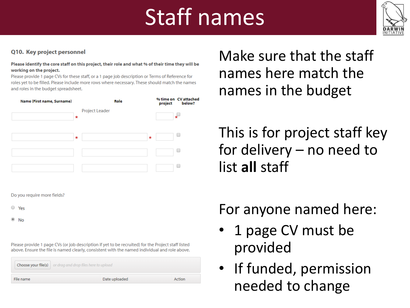## Staff names



#### Q10. Key project personnel

Please identify the core staff on this project, their role and what % of their time they will be working on the project.

Please provide 1 page CVs for these staff, or a 1 page job description or Terms of Reference for roles yet to be filled. Please include more rows where necessary. These should match the names and roles in the budget spreadsheet.

| Name (First name, Surname) |         | Role           |         | % time on CV attached<br>below?<br>project |
|----------------------------|---------|----------------|---------|--------------------------------------------|
|                            | $\star$ | Project Leader |         |                                            |
|                            | $\star$ |                | $\star$ |                                            |
|                            |         |                |         |                                            |
|                            |         |                |         |                                            |

Do you require more fields?

- $\circ$  Yes
- $\circ$  No

Please provide 1 page CVs (or job description if yet to be recruited) for the Project staff listed above. Ensure the file is named clearly, consistent with the named individual and role above.

|           | <b>Choose your file(s)</b> or drag and drop files here to upload |        |
|-----------|------------------------------------------------------------------|--------|
| File name | Date uploaded                                                    | Action |

Make sure that the staff names here match the names in the budget

This is for project staff key for delivery – no need to list **all** staff

### For anyone named here:

- 1 page CV must be provided
- If funded, permission needed to change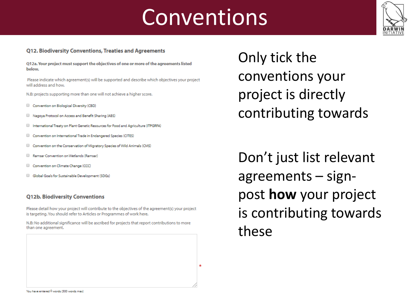### Conventions



#### **Q12. Biodiversity Conventions, Treaties and Agreements**

Q12a. Your project must support the objectives of one or more of the agreements listed below.

Please indicate which agreement(s) will be supported and describe which objectives your project will address and how.

N.B: projects supporting more than one will not achieve a higher score.

- Convention on Biological Diversity (CBD)
- Nagoya Protocol on Access and Benefit Sharing (ABS)
- International Treaty on Plant Genetic Resources for Food and Agriculture (ITPGRFA)
- Convention on International Trade in Endangered Species (CITES)
- Convention on the Conservation of Migratory Species of Wild Animals (CMS)
- Ramsar Convention on Wetlands (Ramsar)
- Convention on Climate Change (CCC)
- Global Goals for Sustainable Development (SDGs)

#### **O12b. Biodiversity Conventions**

Please detail how your project will contribute to the objectives of the agreement(s) your project is targeting. You should refer to Articles or Programmes of work here.

N.B: No additional significance will be ascribed for projects that report contributions to more than one agreement.

Only tick the conventions your project is directly contributing towards

Don't just list relevant agreements – signpost **how** your project is contributing towards these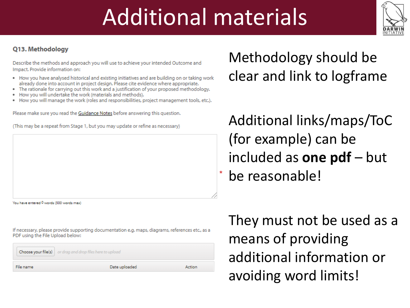## Additional materials



#### Q13. Methodology

Describe the methods and approach you will use to achieve your intended Outcome and Impact. Provide information on:

- . How you have analysed historical and existing initiatives and are building on or taking work already done into account in project design. Please cite evidence where appropriate.
- . The rationale for carrying out this work and a justification of your proposed methodology.
- . How you will undertake the work (materials and methods).
- How you will manage the work (roles and responsibilities, project management tools, etc.).

Please make sure you read the Guidance Notes before answering this question.

(This may be a repeat from Stage 1, but you may update or refine as necessary)

You have entered 0 words (500 words max)

If necessary, please provide supporting documentation e.g. maps, diagrams, references etc., as a PDF using the File Upload below:

|           | <b>Choose your file(s)</b> $\vert$ or drag and drop files here to upload |        |
|-----------|--------------------------------------------------------------------------|--------|
| File name | Date uploaded                                                            | Action |

Methodology should be clear and link to logframe

Additional links/maps/ToC (for example) can be included as **one pdf** – but be reasonable!

They must not be used as a means of providing additional information or avoiding word limits!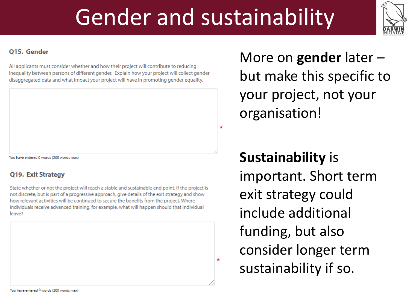## Gender and sustainability



#### **015. Gender**

All applicants must consider whether and how their project will contribute to reducing inequality between persons of different gender. Explain how your project will collect gender disaggregated data and what impact your project will have in promoting gender equality.

You have entered 0 words (300 words max)

#### Q19. Exit Strategy

State whether or not the project will reach a stable and sustainable end point. If the project is not discrete, but is part of a progressive approach, give details of the exit strategy and show how relevant activities will be continued to secure the benefits from the project. Where individuals receive advanced training, for example, what will happen should that individual leave?

More on **gender** later – but make this specific to your project, not your organisation!

**Sustainability** is important. Short term exit strategy could include additional funding, but also consider longer term sustainability if so.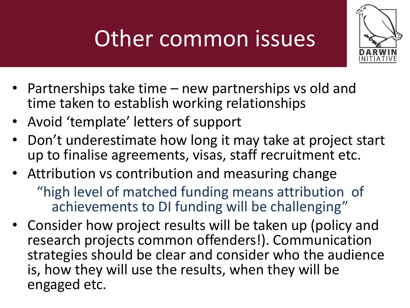# Other common issues



- Partnerships take time new partnerships vs old and time taken to establish working relationships
- Avoid 'template' letters of support
- Don't underestimate how long it may take at project start up to finalise agreements, visas, staff recruitment etc.
- Attribution vs contribution and measuring change "high level of matched funding means attribution of achievements to DI funding will be challenging"
- Consider how project results will be taken up (policy and research projects common offenders!). Communication strategies should be clear and consider who the audience is, how they will use the results, when they will be engaged etc.